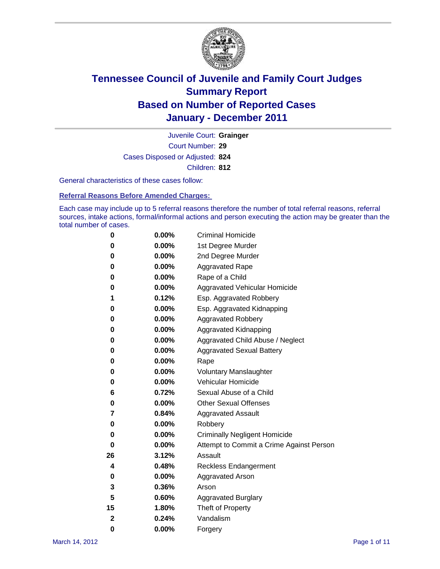

Court Number: **29** Juvenile Court: **Grainger** Cases Disposed or Adjusted: **824** Children: **812**

General characteristics of these cases follow:

**Referral Reasons Before Amended Charges:** 

Each case may include up to 5 referral reasons therefore the number of total referral reasons, referral sources, intake actions, formal/informal actions and person executing the action may be greater than the total number of cases.

| 0  | 0.00% | <b>Criminal Homicide</b>                 |
|----|-------|------------------------------------------|
| 0  | 0.00% | 1st Degree Murder                        |
| 0  | 0.00% | 2nd Degree Murder                        |
| 0  | 0.00% | <b>Aggravated Rape</b>                   |
| 0  | 0.00% | Rape of a Child                          |
| 0  | 0.00% | Aggravated Vehicular Homicide            |
| 1  | 0.12% | Esp. Aggravated Robbery                  |
| 0  | 0.00% | Esp. Aggravated Kidnapping               |
| 0  | 0.00% | <b>Aggravated Robbery</b>                |
| 0  | 0.00% | Aggravated Kidnapping                    |
| 0  | 0.00% | Aggravated Child Abuse / Neglect         |
| 0  | 0.00% | <b>Aggravated Sexual Battery</b>         |
| 0  | 0.00% | Rape                                     |
| 0  | 0.00% | <b>Voluntary Manslaughter</b>            |
| 0  | 0.00% | Vehicular Homicide                       |
| 6  | 0.72% | Sexual Abuse of a Child                  |
| 0  | 0.00% | <b>Other Sexual Offenses</b>             |
| 7  | 0.84% | <b>Aggravated Assault</b>                |
| 0  | 0.00% | Robbery                                  |
| 0  | 0.00% | <b>Criminally Negligent Homicide</b>     |
| 0  | 0.00% | Attempt to Commit a Crime Against Person |
| 26 | 3.12% | Assault                                  |
| 4  | 0.48% | <b>Reckless Endangerment</b>             |
| 0  | 0.00% | <b>Aggravated Arson</b>                  |
| 3  | 0.36% | Arson                                    |
| 5  | 0.60% | <b>Aggravated Burglary</b>               |
| 15 | 1.80% | Theft of Property                        |
| 2  | 0.24% | Vandalism                                |
| 0  | 0.00% | Forgery                                  |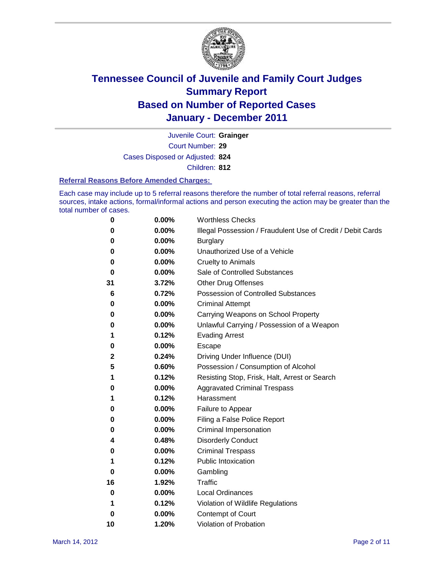

Court Number: **29** Juvenile Court: **Grainger** Cases Disposed or Adjusted: **824**

Children: **812**

### **Referral Reasons Before Amended Charges:**

Each case may include up to 5 referral reasons therefore the number of total referral reasons, referral sources, intake actions, formal/informal actions and person executing the action may be greater than the total number of cases.

| 0  | 0.00%    | <b>Worthless Checks</b>                                     |
|----|----------|-------------------------------------------------------------|
| 0  | 0.00%    | Illegal Possession / Fraudulent Use of Credit / Debit Cards |
| 0  | 0.00%    | <b>Burglary</b>                                             |
| 0  | 0.00%    | Unauthorized Use of a Vehicle                               |
| 0  | 0.00%    | <b>Cruelty to Animals</b>                                   |
| 0  | 0.00%    | Sale of Controlled Substances                               |
| 31 | 3.72%    | <b>Other Drug Offenses</b>                                  |
| 6  | 0.72%    | Possession of Controlled Substances                         |
| 0  | 0.00%    | <b>Criminal Attempt</b>                                     |
| 0  | 0.00%    | Carrying Weapons on School Property                         |
| 0  | 0.00%    | Unlawful Carrying / Possession of a Weapon                  |
| 1  | 0.12%    | <b>Evading Arrest</b>                                       |
| 0  | 0.00%    | Escape                                                      |
| 2  | 0.24%    | Driving Under Influence (DUI)                               |
| 5  | 0.60%    | Possession / Consumption of Alcohol                         |
| 1  | 0.12%    | Resisting Stop, Frisk, Halt, Arrest or Search               |
| 0  | 0.00%    | <b>Aggravated Criminal Trespass</b>                         |
| 1  | 0.12%    | Harassment                                                  |
| 0  | 0.00%    | Failure to Appear                                           |
| 0  | 0.00%    | Filing a False Police Report                                |
| 0  | 0.00%    | Criminal Impersonation                                      |
| 4  | 0.48%    | <b>Disorderly Conduct</b>                                   |
| 0  | 0.00%    | <b>Criminal Trespass</b>                                    |
| 1  | 0.12%    | <b>Public Intoxication</b>                                  |
| 0  | 0.00%    | Gambling                                                    |
| 16 | 1.92%    | Traffic                                                     |
| 0  | $0.00\%$ | <b>Local Ordinances</b>                                     |
| 1  | 0.12%    | Violation of Wildlife Regulations                           |
| 0  | 0.00%    | Contempt of Court                                           |
| 10 | 1.20%    | Violation of Probation                                      |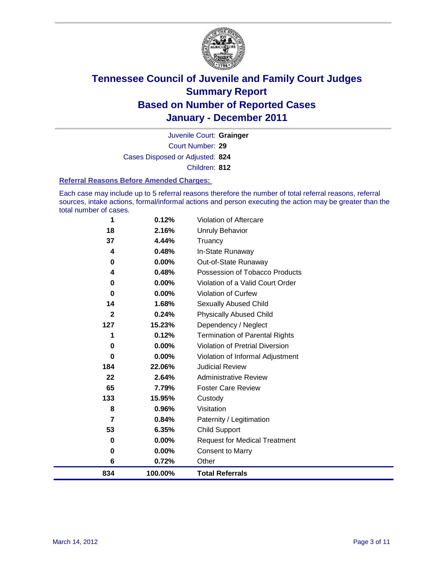

Court Number: **29** Juvenile Court: **Grainger** Cases Disposed or Adjusted: **824** Children: **812**

#### **Referral Reasons Before Amended Charges:**

Each case may include up to 5 referral reasons therefore the number of total referral reasons, referral sources, intake actions, formal/informal actions and person executing the action may be greater than the total number of cases.

| 1            | 0.12%    | Violation of Aftercare                 |
|--------------|----------|----------------------------------------|
| 18           | 2.16%    | <b>Unruly Behavior</b>                 |
| 37           | 4.44%    | Truancy                                |
| 4            | 0.48%    | In-State Runaway                       |
| 0            | 0.00%    | Out-of-State Runaway                   |
| 4            | 0.48%    | Possession of Tobacco Products         |
| 0            | 0.00%    | Violation of a Valid Court Order       |
| $\bf{0}$     | 0.00%    | <b>Violation of Curfew</b>             |
| 14           | 1.68%    | Sexually Abused Child                  |
| $\mathbf{2}$ | 0.24%    | <b>Physically Abused Child</b>         |
| 127          | 15.23%   | Dependency / Neglect                   |
| 1            | 0.12%    | Termination of Parental Rights         |
| $\bf{0}$     | $0.00\%$ | <b>Violation of Pretrial Diversion</b> |
| $\bf{0}$     | 0.00%    | Violation of Informal Adjustment       |
| 184          | 22.06%   | <b>Judicial Review</b>                 |
| 22           | 2.64%    | <b>Administrative Review</b>           |
| 65           | 7.79%    | <b>Foster Care Review</b>              |
| 133          | 15.95%   | Custody                                |
| 8            | 0.96%    | Visitation                             |
| 7            | 0.84%    | Paternity / Legitimation               |
| 53           | 6.35%    | <b>Child Support</b>                   |
| 0            | $0.00\%$ | <b>Request for Medical Treatment</b>   |
| 0            | 0.00%    | <b>Consent to Marry</b>                |
| 6            | 0.72%    | Other                                  |
| 834          | 100.00%  | <b>Total Referrals</b>                 |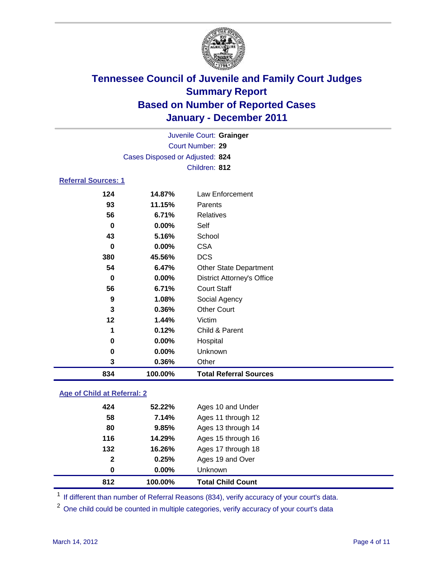

| 834                        | 100.00%                         | <b>Total Referral Sources</b>     |  |  |
|----------------------------|---------------------------------|-----------------------------------|--|--|
| 3                          | 0.36%                           | Other                             |  |  |
| 0                          | 0.00%                           | Unknown                           |  |  |
| 0                          | $0.00\%$                        | Hospital                          |  |  |
| 1                          | 0.12%                           | Child & Parent                    |  |  |
| $12 \,$                    | 1.44%                           | Victim                            |  |  |
| 3                          | 0.36%                           | <b>Other Court</b>                |  |  |
| 9                          | 1.08%                           | Social Agency                     |  |  |
| 56                         | 6.71%                           | <b>Court Staff</b>                |  |  |
| 0                          | 0.00%                           | <b>District Attorney's Office</b> |  |  |
| 54                         | 6.47%                           | <b>Other State Department</b>     |  |  |
| 380                        | 45.56%                          | <b>DCS</b>                        |  |  |
| $\bf{0}$                   | $0.00\%$                        | <b>CSA</b>                        |  |  |
| 43                         | 5.16%                           | School                            |  |  |
| $\bf{0}$                   | 0.00%                           | Self                              |  |  |
| 56                         | 6.71%                           | Relatives                         |  |  |
| 93                         | 11.15%                          | Parents                           |  |  |
| 124                        | 14.87%                          | <b>Law Enforcement</b>            |  |  |
| <b>Referral Sources: 1</b> |                                 |                                   |  |  |
| Children: 812              |                                 |                                   |  |  |
|                            | Cases Disposed or Adjusted: 824 |                                   |  |  |
|                            | Court Number: 29                |                                   |  |  |
|                            | Juvenile Court: Grainger        |                                   |  |  |
|                            |                                 |                                   |  |  |

### **Age of Child at Referral: 2**

| 812          | 100.00% | <b>Total Child Count</b> |
|--------------|---------|--------------------------|
| 0            | 0.00%   | <b>Unknown</b>           |
| $\mathbf{2}$ | 0.25%   | Ages 19 and Over         |
| 132          | 16.26%  | Ages 17 through 18       |
| 116          | 14.29%  | Ages 15 through 16       |
| 80           | 9.85%   | Ages 13 through 14       |
| 58           | 7.14%   | Ages 11 through 12       |
| 424          | 52.22%  | Ages 10 and Under        |
|              |         |                          |

<sup>1</sup> If different than number of Referral Reasons (834), verify accuracy of your court's data.

One child could be counted in multiple categories, verify accuracy of your court's data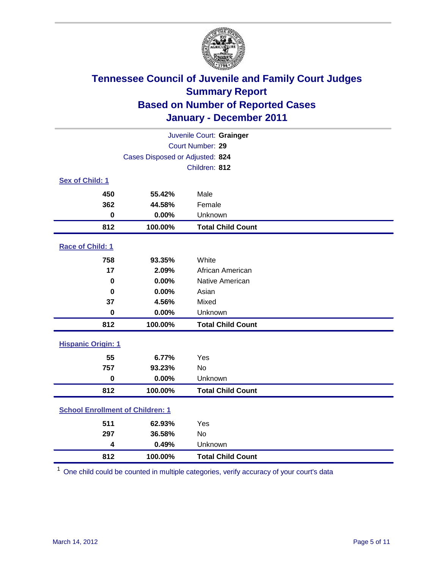

| Juvenile Court: Grainger                |                                 |                          |  |  |
|-----------------------------------------|---------------------------------|--------------------------|--|--|
| Court Number: 29                        |                                 |                          |  |  |
|                                         | Cases Disposed or Adjusted: 824 |                          |  |  |
|                                         |                                 | Children: 812            |  |  |
| Sex of Child: 1                         |                                 |                          |  |  |
| 450                                     | 55.42%                          | Male                     |  |  |
| 362                                     | 44.58%                          | Female                   |  |  |
| $\mathbf 0$                             | 0.00%                           | Unknown                  |  |  |
| 812                                     | 100.00%                         | <b>Total Child Count</b> |  |  |
| Race of Child: 1                        |                                 |                          |  |  |
| 758                                     | 93.35%                          | White                    |  |  |
| 17                                      | 2.09%                           | African American         |  |  |
| $\mathbf 0$                             | 0.00%                           | Native American          |  |  |
| $\bf{0}$                                | 0.00%                           | Asian                    |  |  |
| 37                                      | 4.56%                           | Mixed                    |  |  |
| $\pmb{0}$                               | 0.00%                           | Unknown                  |  |  |
| 812                                     | 100.00%                         | <b>Total Child Count</b> |  |  |
| <b>Hispanic Origin: 1</b>               |                                 |                          |  |  |
| 55                                      | 6.77%                           | Yes                      |  |  |
| 757                                     | 93.23%                          | No                       |  |  |
| $\mathbf 0$                             | 0.00%                           | Unknown                  |  |  |
| 812                                     | 100.00%                         | <b>Total Child Count</b> |  |  |
| <b>School Enrollment of Children: 1</b> |                                 |                          |  |  |
| 511                                     | 62.93%                          | Yes                      |  |  |
| 297                                     | 36.58%                          | <b>No</b>                |  |  |
| 4                                       | 0.49%                           | Unknown                  |  |  |
| 812                                     | 100.00%                         | <b>Total Child Count</b> |  |  |

One child could be counted in multiple categories, verify accuracy of your court's data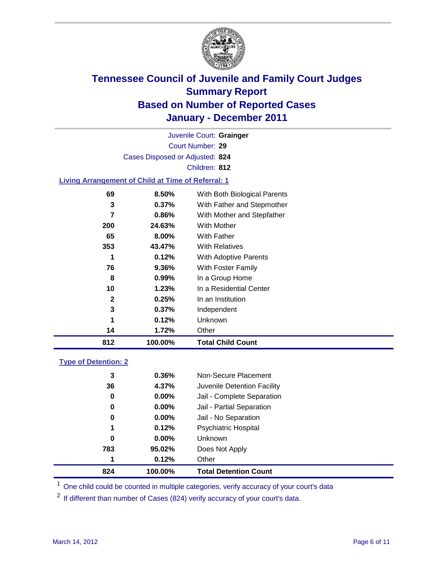

Court Number: **29** Juvenile Court: **Grainger** Cases Disposed or Adjusted: **824** Children: **812 Living Arrangement of Child at Time of Referral: 1**

| 812 | 100.00%  | <b>Total Child Count</b>     |
|-----|----------|------------------------------|
| 14  | 1.72%    | Other                        |
| 1   | 0.12%    | Unknown                      |
| 3   | $0.37\%$ | Independent                  |
| 2   | 0.25%    | In an Institution            |
| 10  | 1.23%    | In a Residential Center      |
| 8   | 0.99%    | In a Group Home              |
| 76  | 9.36%    | With Foster Family           |
| 1   | 0.12%    | With Adoptive Parents        |
| 353 | 43.47%   | <b>With Relatives</b>        |
| 65  | 8.00%    | With Father                  |
| 200 | 24.63%   | <b>With Mother</b>           |
| 7   | 0.86%    | With Mother and Stepfather   |
| 3   | $0.37\%$ | With Father and Stepmother   |
| 69  | 8.50%    | With Both Biological Parents |

### **Type of Detention: 2**

| 824 | 100.00%  | <b>Total Detention Count</b> |
|-----|----------|------------------------------|
| 1   | 0.12%    | Other                        |
| 783 | 95.02%   | Does Not Apply               |
| 0   | $0.00\%$ | Unknown                      |
| 1   | 0.12%    | Psychiatric Hospital         |
| 0   | 0.00%    | Jail - No Separation         |
| 0   | $0.00\%$ | Jail - Partial Separation    |
| 0   | 0.00%    | Jail - Complete Separation   |
| 36  | 4.37%    | Juvenile Detention Facility  |
| 3   | 0.36%    | Non-Secure Placement         |
|     |          |                              |

<sup>1</sup> One child could be counted in multiple categories, verify accuracy of your court's data

<sup>2</sup> If different than number of Cases (824) verify accuracy of your court's data.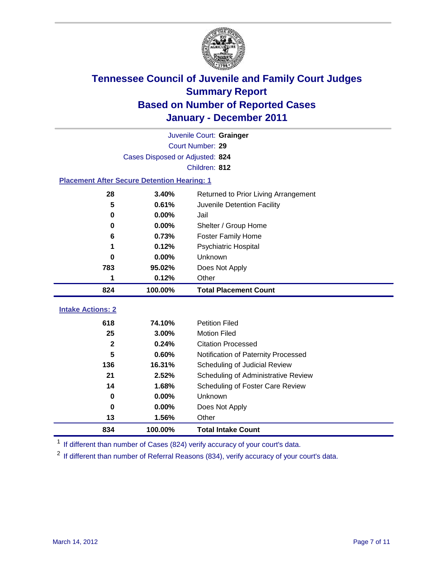

|                                                    | Juvenile Court: Grainger        |                                      |  |  |
|----------------------------------------------------|---------------------------------|--------------------------------------|--|--|
|                                                    | Court Number: 29                |                                      |  |  |
|                                                    | Cases Disposed or Adjusted: 824 |                                      |  |  |
|                                                    |                                 | Children: 812                        |  |  |
| <b>Placement After Secure Detention Hearing: 1</b> |                                 |                                      |  |  |
| 28                                                 | 3.40%                           | Returned to Prior Living Arrangement |  |  |
| 5                                                  | 0.61%                           | Juvenile Detention Facility          |  |  |
| 0                                                  | 0.00%                           | Jail                                 |  |  |
| 0                                                  | 0.00%                           | Shelter / Group Home                 |  |  |
| 6                                                  | 0.73%                           | <b>Foster Family Home</b>            |  |  |
| 1                                                  | 0.12%                           | Psychiatric Hospital                 |  |  |
| 0                                                  | 0.00%                           | Unknown                              |  |  |
| 783                                                | 95.02%                          | Does Not Apply                       |  |  |
| 1                                                  | 0.12%                           | Other                                |  |  |
| 824                                                | 100.00%                         | <b>Total Placement Count</b>         |  |  |
| <b>Intake Actions: 2</b>                           |                                 |                                      |  |  |
| 618                                                | 74.10%                          | <b>Petition Filed</b>                |  |  |
| 25                                                 | 3.00%                           |                                      |  |  |
| $\mathbf 2$                                        |                                 | <b>Motion Filed</b>                  |  |  |
|                                                    | 0.24%                           | <b>Citation Processed</b>            |  |  |
| 5                                                  | 0.60%                           | Notification of Paternity Processed  |  |  |
| 136                                                | 16.31%                          | Scheduling of Judicial Review        |  |  |
| 21                                                 | 2.52%                           | Scheduling of Administrative Review  |  |  |
| 14                                                 | 1.68%                           | Scheduling of Foster Care Review     |  |  |
| $\mathbf 0$                                        | 0.00%                           | Unknown                              |  |  |
| 0                                                  | 0.00%                           | Does Not Apply                       |  |  |
| 13                                                 | 1.56%                           | Other                                |  |  |

<sup>1</sup> If different than number of Cases (824) verify accuracy of your court's data.

<sup>2</sup> If different than number of Referral Reasons (834), verify accuracy of your court's data.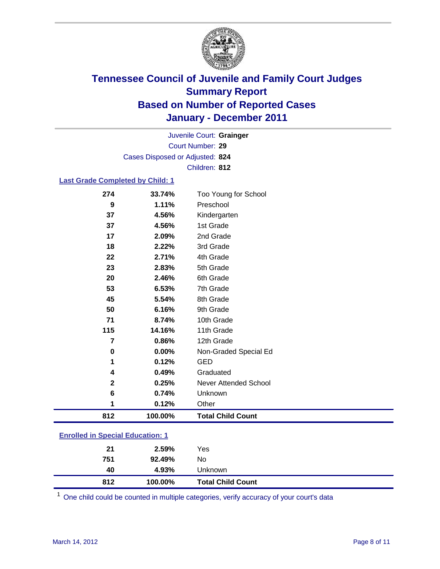

Court Number: **29** Juvenile Court: **Grainger** Cases Disposed or Adjusted: **824** Children: **812**

### **Last Grade Completed by Child: 1**

| 274                                     | 33.74%  | Too Young for School         |  |
|-----------------------------------------|---------|------------------------------|--|
| 9                                       | 1.11%   | Preschool                    |  |
| 37                                      | 4.56%   | Kindergarten                 |  |
| 37                                      | 4.56%   | 1st Grade                    |  |
| 17                                      | 2.09%   | 2nd Grade                    |  |
| 18                                      | 2.22%   | 3rd Grade                    |  |
| 22                                      | 2.71%   | 4th Grade                    |  |
| 23                                      | 2.83%   | 5th Grade                    |  |
| 20                                      | 2.46%   | 6th Grade                    |  |
| 53                                      | 6.53%   | 7th Grade                    |  |
| 45                                      | 5.54%   | 8th Grade                    |  |
| 50                                      | 6.16%   | 9th Grade                    |  |
| 71                                      | 8.74%   | 10th Grade                   |  |
| 115                                     | 14.16%  | 11th Grade                   |  |
| $\overline{7}$                          | 0.86%   | 12th Grade                   |  |
| $\mathbf 0$                             | 0.00%   | Non-Graded Special Ed        |  |
| 1                                       | 0.12%   | <b>GED</b>                   |  |
| 4                                       | 0.49%   | Graduated                    |  |
| $\mathbf{2}$                            | 0.25%   | <b>Never Attended School</b> |  |
| 6                                       | 0.74%   | Unknown                      |  |
| 1                                       | 0.12%   | Other                        |  |
| 812                                     | 100.00% | <b>Total Child Count</b>     |  |
| <b>Enrolled in Special Education: 1</b> |         |                              |  |

| <b>Unknown</b> |
|----------------|
| No             |
| Yes            |
|                |

One child could be counted in multiple categories, verify accuracy of your court's data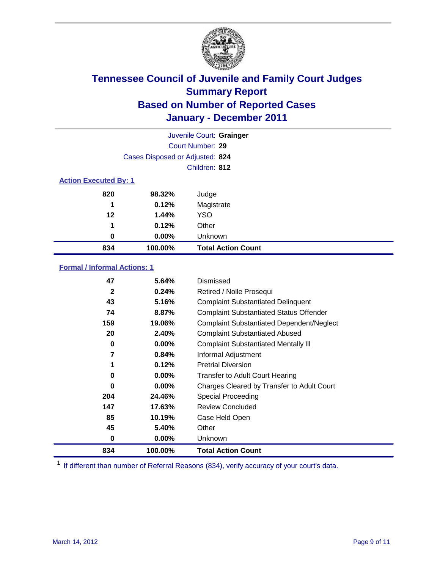

| Juvenile Court: Grainger     |                                 |                           |  |
|------------------------------|---------------------------------|---------------------------|--|
|                              |                                 | Court Number: 29          |  |
|                              | Cases Disposed or Adjusted: 824 |                           |  |
| Children: 812                |                                 |                           |  |
| <b>Action Executed By: 1</b> |                                 |                           |  |
| 820                          | 98.32%                          | Judge                     |  |
| 1                            | 0.12%                           | Magistrate                |  |
| 12                           | 1.44%                           | <b>YSO</b>                |  |
| 1                            | 0.12%                           | Other                     |  |
| 0                            | 0.00%                           | Unknown                   |  |
| 834                          | 100.00%                         | <b>Total Action Count</b> |  |

### **Formal / Informal Actions: 1**

| 47           | 5.64%    | Dismissed                                        |
|--------------|----------|--------------------------------------------------|
| $\mathbf{2}$ | 0.24%    | Retired / Nolle Prosequi                         |
| 43           | 5.16%    | <b>Complaint Substantiated Delinquent</b>        |
| 74           | 8.87%    | <b>Complaint Substantiated Status Offender</b>   |
| 159          | 19.06%   | <b>Complaint Substantiated Dependent/Neglect</b> |
| 20           | 2.40%    | <b>Complaint Substantiated Abused</b>            |
| 0            | $0.00\%$ | <b>Complaint Substantiated Mentally III</b>      |
| 7            | 0.84%    | Informal Adjustment                              |
| 1            | 0.12%    | <b>Pretrial Diversion</b>                        |
| 0            | $0.00\%$ | <b>Transfer to Adult Court Hearing</b>           |
| 0            | 0.00%    | Charges Cleared by Transfer to Adult Court       |
| 204          | 24.46%   | <b>Special Proceeding</b>                        |
| 147          | 17.63%   | <b>Review Concluded</b>                          |
| 85           | 10.19%   | Case Held Open                                   |
| 45           | 5.40%    | Other                                            |
| 0            | $0.00\%$ | <b>Unknown</b>                                   |
| 834          | 100.00%  | <b>Total Action Count</b>                        |

<sup>1</sup> If different than number of Referral Reasons (834), verify accuracy of your court's data.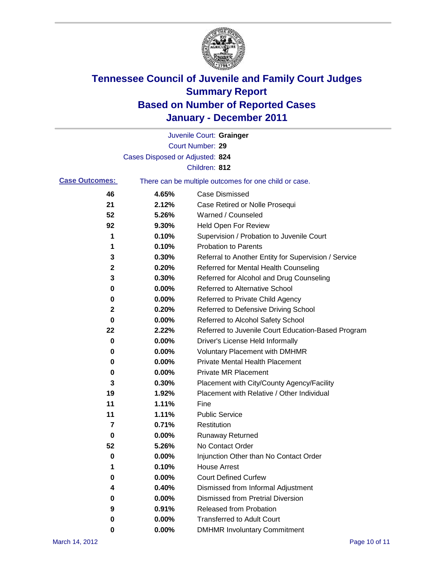

|                       |                                 | Juvenile Court: Grainger                              |
|-----------------------|---------------------------------|-------------------------------------------------------|
|                       |                                 | Court Number: 29                                      |
|                       | Cases Disposed or Adjusted: 824 |                                                       |
|                       |                                 | Children: 812                                         |
| <b>Case Outcomes:</b> |                                 | There can be multiple outcomes for one child or case. |
| 46                    | 4.65%                           | <b>Case Dismissed</b>                                 |
| 21                    | 2.12%                           | Case Retired or Nolle Prosequi                        |
| 52                    | 5.26%                           | Warned / Counseled                                    |
| 92                    | 9.30%                           | Held Open For Review                                  |
| 1                     | 0.10%                           | Supervision / Probation to Juvenile Court             |
| 1                     | 0.10%                           | <b>Probation to Parents</b>                           |
| 3                     | 0.30%                           | Referral to Another Entity for Supervision / Service  |
| 2                     | 0.20%                           | Referred for Mental Health Counseling                 |
| 3                     | 0.30%                           | Referred for Alcohol and Drug Counseling              |
| 0                     | 0.00%                           | <b>Referred to Alternative School</b>                 |
| 0                     | 0.00%                           | Referred to Private Child Agency                      |
| 2                     | 0.20%                           | Referred to Defensive Driving School                  |
| 0                     | 0.00%                           | Referred to Alcohol Safety School                     |
| 22                    | 2.22%                           | Referred to Juvenile Court Education-Based Program    |
| 0                     | 0.00%                           | Driver's License Held Informally                      |
| 0                     | 0.00%                           | <b>Voluntary Placement with DMHMR</b>                 |
| 0                     | 0.00%                           | Private Mental Health Placement                       |
| 0                     | 0.00%                           | <b>Private MR Placement</b>                           |
| 3                     | 0.30%                           | Placement with City/County Agency/Facility            |
| 19                    | 1.92%                           | Placement with Relative / Other Individual            |
| 11                    | 1.11%                           | Fine                                                  |
| 11                    | 1.11%                           | <b>Public Service</b>                                 |
| 7                     | 0.71%                           | Restitution                                           |
| 0                     | 0.00%                           | <b>Runaway Returned</b>                               |
| 52                    | 5.26%                           | No Contact Order                                      |
| 0                     | 0.00%                           | Injunction Other than No Contact Order                |
|                       | 0.10%                           | <b>House Arrest</b>                                   |
| 0                     | 0.00%                           | <b>Court Defined Curfew</b>                           |
| 4                     | 0.40%                           | Dismissed from Informal Adjustment                    |
| 0                     | $0.00\%$                        | <b>Dismissed from Pretrial Diversion</b>              |
| 9                     | 0.91%                           | Released from Probation                               |
| 0                     | $0.00\%$                        | <b>Transferred to Adult Court</b>                     |
| 0                     | $0.00\%$                        | <b>DMHMR Involuntary Commitment</b>                   |